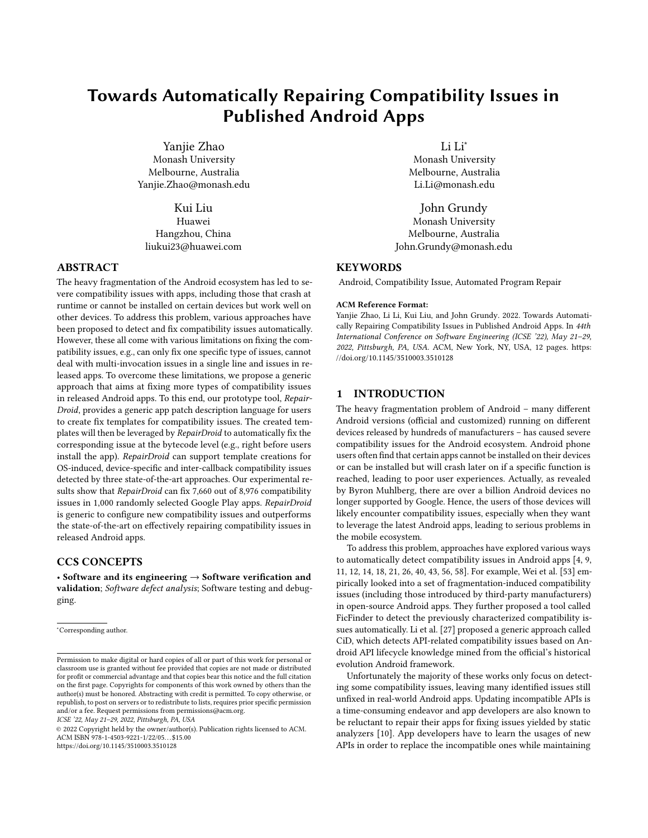# Towards Automatically Repairing Compatibility Issues in Published Android Apps

Yanjie Zhao Monash University Melbourne, Australia Yanjie.Zhao@monash.edu

Kui Liu Huawei Hangzhou, China liukui23@huawei.com

## ABSTRACT

The heavy fragmentation of the Android ecosystem has led to severe compatibility issues with apps, including those that crash at runtime or cannot be installed on certain devices but work well on other devices. To address this problem, various approaches have been proposed to detect and fix compatibility issues automatically. However, these all come with various limitations on fixing the compatibility issues, e.g., can only fix one specific type of issues, cannot deal with multi-invocation issues in a single line and issues in released apps. To overcome these limitations, we propose a generic approach that aims at fixing more types of compatibility issues in released Android apps. To this end, our prototype tool, Repair-Droid, provides a generic app patch description language for users to create fix templates for compatibility issues. The created templates will then be leveraged by RepairDroid to automatically fix the corresponding issue at the bytecode level (e.g., right before users install the app). RepairDroid can support template creations for OS-induced, device-specific and inter-callback compatibility issues detected by three state-of-the-art approaches. Our experimental results show that RepairDroid can fix 7,660 out of 8,976 compatibility issues in 1,000 randomly selected Google Play apps. RepairDroid is generic to configure new compatibility issues and outperforms the state-of-the-art on effectively repairing compatibility issues in released Android apps.

## CCS CONCEPTS

• Software and its engineering  $\rightarrow$  Software verification and validation; Software defect analysis; Software testing and debugging.

ICSE '22, May 21–29, 2022, Pittsburgh, PA, USA

Li Li<sup>∗</sup>

Monash University Melbourne, Australia Li.Li@monash.edu

John Grundy Monash University Melbourne, Australia John.Grundy@monash.edu

# **KEYWORDS**

Android, Compatibility Issue, Automated Program Repair

#### ACM Reference Format:

Yanjie Zhao, Li Li, Kui Liu, and John Grundy. 2022. Towards Automatically Repairing Compatibility Issues in Published Android Apps. In 44th International Conference on Software Engineering (ICSE '22), May 21–29, 2022, Pittsburgh, PA, USA. ACM, New York, NY, USA, [12](#page-11-0) pages. [https:](https://doi.org/10.1145/3510003.3510128) [//doi.org/10.1145/3510003.3510128](https://doi.org/10.1145/3510003.3510128)

#### 1 INTRODUCTION

The heavy fragmentation problem of Android – many different Android versions (official and customized) running on different devices released by hundreds of manufacturers – has caused severe compatibility issues for the Android ecosystem. Android phone users often find that certain apps cannot be installed on their devices or can be installed but will crash later on if a specific function is reached, leading to poor user experiences. Actually, as revealed by Byron Muhlberg, there are over a billion Android devices no longer supported by Google. Hence, the users of those devices will likely encounter compatibility issues, especially when they want to leverage the latest Android apps, leading to serious problems in the mobile ecosystem.

To address this problem, approaches have explored various ways to automatically detect compatibility issues in Android apps [\[4,](#page-10-0) [9,](#page-10-1) [11,](#page-10-2) [12,](#page-10-3) [14,](#page-10-4) [18,](#page-10-5) [21,](#page-10-6) [26,](#page-11-1) [40,](#page-11-2) [43,](#page-11-3) [56,](#page-11-4) [58\]](#page-11-5). For example, Wei et al. [\[53\]](#page-11-6) empirically looked into a set of fragmentation-induced compatibility issues (including those introduced by third-party manufacturers) in open-source Android apps. They further proposed a tool called FicFinder to detect the previously characterized compatibility issues automatically. Li et al. [\[27\]](#page-11-7) proposed a generic approach called CiD, which detects API-related compatibility issues based on Android API lifecycle knowledge mined from the official's historical evolution Android framework.

Unfortunately the majority of these works only focus on detecting some compatibility issues, leaving many identified issues still unfixed in real-world Android apps. Updating incompatible APIs is a time-consuming endeavor and app developers are also known to be reluctant to repair their apps for fixing issues yielded by static analyzers [\[10\]](#page-10-7). App developers have to learn the usages of new APIs in order to replace the incompatible ones while maintaining

<sup>∗</sup>Corresponding author.

Permission to make digital or hard copies of all or part of this work for personal or classroom use is granted without fee provided that copies are not made or distributed for profit or commercial advantage and that copies bear this notice and the full citation on the first page. Copyrights for components of this work owned by others than the author(s) must be honored. Abstracting with credit is permitted. To copy otherwise, or republish, to post on servers or to redistribute to lists, requires prior specific permission and/or a fee. Request permissions from permissions@acm.org.

<sup>©</sup> 2022 Copyright held by the owner/author(s). Publication rights licensed to ACM. ACM ISBN 978-1-4503-9221-1/22/05. . . \$15.00 <https://doi.org/10.1145/3510003.3510128>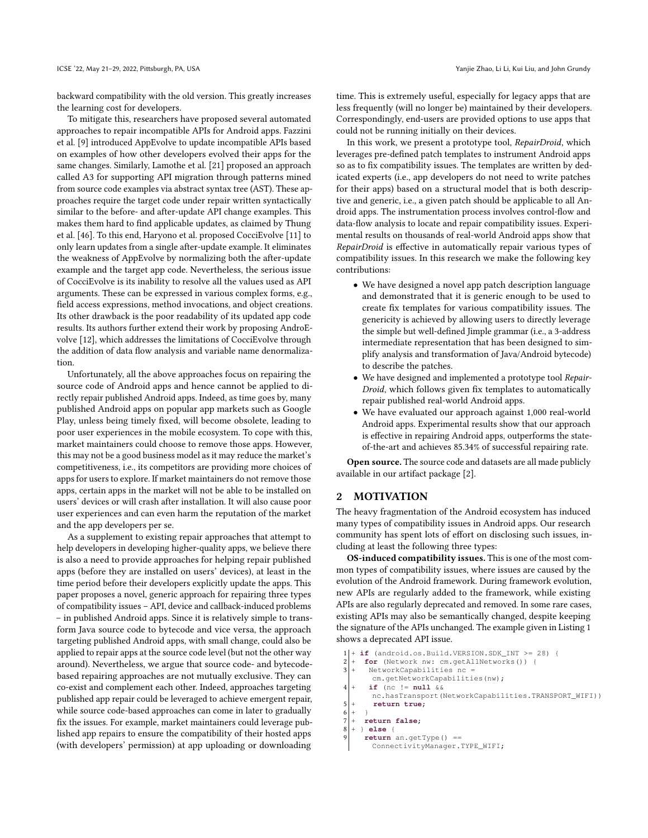backward compatibility with the old version. This greatly increases the learning cost for developers.

To mitigate this, researchers have proposed several automated approaches to repair incompatible APIs for Android apps. Fazzini et al. [\[9\]](#page-10-1) introduced AppEvolve to update incompatible APIs based on examples of how other developers evolved their apps for the same changes. Similarly, Lamothe et al. [\[21\]](#page-10-6) proposed an approach called A3 for supporting API migration through patterns mined from source code examples via abstract syntax tree (AST). These approaches require the target code under repair written syntactically similar to the before- and after-update API change examples. This makes them hard to find applicable updates, as claimed by Thung et al. [\[46\]](#page-11-8). To this end, Haryono et al. proposed CocciEvolve [\[11\]](#page-10-2) to only learn updates from a single after-update example. It eliminates the weakness of AppEvolve by normalizing both the after-update example and the target app code. Nevertheless, the serious issue of CocciEvolve is its inability to resolve all the values used as API arguments. These can be expressed in various complex forms, e.g., field access expressions, method invocations, and object creations. Its other drawback is the poor readability of its updated app code results. Its authors further extend their work by proposing AndroEvolve [\[12\]](#page-10-3), which addresses the limitations of CocciEvolve through the addition of data flow analysis and variable name denormalization.

Unfortunately, all the above approaches focus on repairing the source code of Android apps and hence cannot be applied to directly repair published Android apps. Indeed, as time goes by, many published Android apps on popular app markets such as Google Play, unless being timely fixed, will become obsolete, leading to poor user experiences in the mobile ecosystem. To cope with this, market maintainers could choose to remove those apps. However, this may not be a good business model as it may reduce the market's competitiveness, i.e., its competitors are providing more choices of apps for users to explore. If market maintainers do not remove those apps, certain apps in the market will not be able to be installed on users' devices or will crash after installation. It will also cause poor user experiences and can even harm the reputation of the market and the app developers per se.

As a supplement to existing repair approaches that attempt to help developers in developing higher-quality apps, we believe there is also a need to provide approaches for helping repair published apps (before they are installed on users' devices), at least in the time period before their developers explicitly update the apps. This paper proposes a novel, generic approach for repairing three types of compatibility issues – API, device and callback-induced problems – in published Android apps. Since it is relatively simple to transform Java source code to bytecode and vice versa, the approach targeting published Android apps, with small change, could also be applied to repair apps at the source code level (but not the other way around). Nevertheless, we argue that source code- and bytecodebased repairing approaches are not mutually exclusive. They can co-exist and complement each other. Indeed, approaches targeting published app repair could be leveraged to achieve emergent repair, while source code-based approaches can come in later to gradually fix the issues. For example, market maintainers could leverage published app repairs to ensure the compatibility of their hosted apps (with developers' permission) at app uploading or downloading

time. This is extremely useful, especially for legacy apps that are less frequently (will no longer be) maintained by their developers. Correspondingly, end-users are provided options to use apps that could not be running initially on their devices.

In this work, we present a prototype tool, RepairDroid, which leverages pre-defined patch templates to instrument Android apps so as to fix compatibility issues. The templates are written by dedicated experts (i.e., app developers do not need to write patches for their apps) based on a structural model that is both descriptive and generic, i.e., a given patch should be applicable to all Android apps. The instrumentation process involves control-flow and data-flow analysis to locate and repair compatibility issues. Experimental results on thousands of real-world Android apps show that RepairDroid is effective in automatically repair various types of compatibility issues. In this research we make the following key contributions:

- We have designed a novel app patch description language and demonstrated that it is generic enough to be used to create fix templates for various compatibility issues. The genericity is achieved by allowing users to directly leverage the simple but well-defined Jimple grammar (i.e., a 3-address intermediate representation that has been designed to simplify analysis and transformation of Java/Android bytecode) to describe the patches.
- We have designed and implemented a prototype tool Repair-Droid, which follows given fix templates to automatically repair published real-world Android apps.
- We have evaluated our approach against 1,000 real-world Android apps. Experimental results show that our approach is effective in repairing Android apps, outperforms the stateof-the-art and achieves 85.34% of successful repairing rate.

Open source. The source code and datasets are all made publicly available in our artifact package [\[2\]](#page-10-8).

#### <span id="page-1-1"></span>2 MOTIVATION

The heavy fragmentation of the Android ecosystem has induced many types of compatibility issues in Android apps. Our research community has spent lots of effort on disclosing such issues, including at least the following three types:

OS-induced compatibility issues. This is one of the most common types of compatibility issues, where issues are caused by the evolution of the Android framework. During framework evolution, new APIs are regularly added to the framework, while existing APIs are also regularly deprecated and removed. In some rare cases, existing APIs may also be semantically changed, despite keeping the signature of the APIs unchanged. The example given in Listing [1](#page-1-0) shows a deprecated API issue.

```
if (android.os.Build.VERSION.SDK_INT >= 28) {
2 \left| + \right. for (Network nw: cm.getAllNetworks()) {<br>3 \left| + \right. NetworkCapabilities nc =
       NetworkCapabilities nc
        cm.getNetworkCapabilities(nw);
       if (nc != null &&
        nc.hasTransport(NetworkCapabilities.TRANSPORT_WIFI))
        5 + return true;
6 + \}return false;8 + } else {
      9 return an.getType() ==
        ConnectivityManager.TYPE_WIFI;
```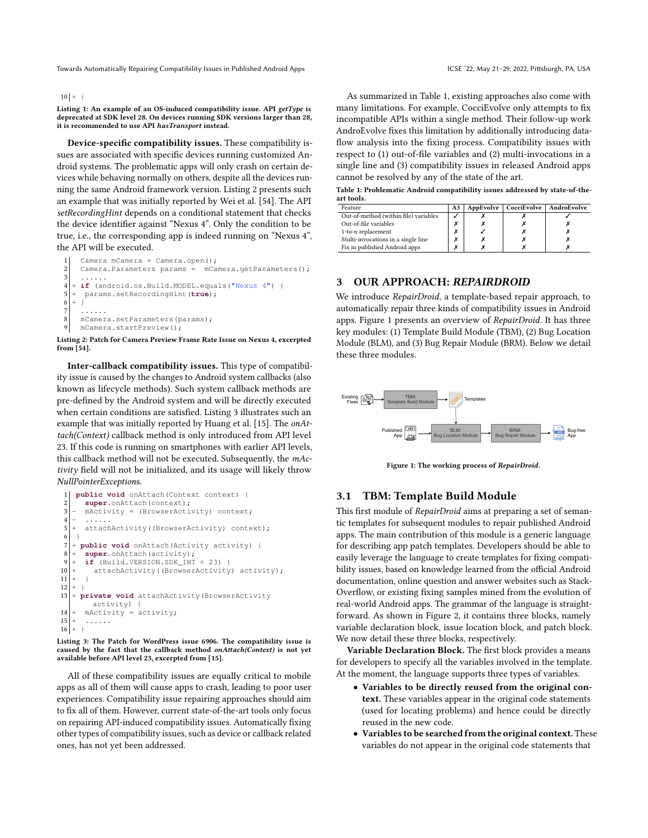#### $10 | + \}$

Listing 1: An example of an OS-induced compatibility issue. API getType is deprecated at SDK level 28. On devices running SDK versions larger than 28, it is recommended to use API hasTransport instead.

Device-specific compatibility issues. These compatibility issues are associated with specific devices running customized Android systems. The problematic apps will only crash on certain devices while behaving normally on others, despite all the devices running the same Android framework version. Listing [2](#page-2-0) presents such an example that was initially reported by Wei et al. [\[54\]](#page-11-9). The API setRecordingHint depends on a conditional statement that checks the device identifier against "Nexus 4". Only the condition to be true, i.e., the corresponding app is indeed running on "Nexus 4", the API will be executed.

```
Camera mCamera = Camera.open();
2 Camera.Parameters params = mCamera.getParameters();<br>3 ......
3 ......
4 + if (android.os.Build.MODEL.equals("Nexus 4") {
5 + params.setRecordingHint(true);
6 + \}7 ......
8 mCamera.setParameters(params);
9 mCamera.startPreview();
```
Listing 2: Patch for Camera Preview Frame Rate Issue on Nexus 4, excerpted from [\[54\]](#page-11-9).

Inter-callback compatibility issues. This type of compatibility issue is caused by the changes to Android system callbacks (also known as lifecycle methods). Such system callback methods are pre-defined by the Android system and will be directly executed when certain conditions are satisfied. Listing [3](#page-2-1) illustrates such an example that was initially reported by Huang et al. [\[15\]](#page-10-9). The onAttach(Context) callback method is only introduced from API level 23. If this code is running on smartphones with earlier API levels, this callback method will not be executed. Subsequently, the mActivity field will not be initialized, and its usage will likely throw NullPointerExceptions.

```
1 public void onAttach(Context context) {
        super.onAttach(context);
        \texttt{mActivity} = \texttt{(BrowserActivity)} \texttt{context};\begin{vmatrix} 4 \\ 5 \end{vmatrix} + attach
 5 \left| + \atop{6} \right| + \text{attachActivity} (BrowserActivity) context);
 \begin{bmatrix} 6 \\ 7 \end{bmatrix} + \cdot7 + public void onAttach(Activity activity) {
 8 + super.onAttach(activity);
        if (Build.VERSION.SDK_INT < 23) {
10 \vert + attachActivity((BrowserActivity) activity);
\begin{array}{c} 11 \\ 12 \end{array}+ \rightarrow13 + private void attachActivity(BrowserActivity
          activity) {
14 + mActivity = activity;
\begin{array}{c|c} 15 & + \\ 16 & + \end{array}16
```
Listing 3: The Patch for WordPress issue 6906. The compatibility issue is caused by the fact that the callback method onAttach(Context) is not yet available before API level 23, excerpted from [\[15\]](#page-10-9).

All of these compatibility issues are equally critical to mobile apps as all of them will cause apps to crash, leading to poor user experiences. Compatibility issue repairing approaches should aim to fix all of them. However, current state-of-the-art tools only focus on repairing API-induced compatibility issues. Automatically fixing other types of compatibility issues, such as device or callback related ones, has not yet been addressed.

As summarized in Table [1,](#page-2-2) existing approaches also come with many limitations. For example, CocciEvolve only attempts to fix incompatible APIs within a single method. Their follow-up work AndroEvolve fixes this limitation by additionally introducing dataflow analysis into the fixing process. Compatibility issues with respect to (1) out-of-file variables and (2) multi-invocations in a single line and (3) compatibility issues in released Android apps cannot be resolved by any of the state of the art.

<span id="page-2-2"></span>Table 1: Problematic Android compatibility issues addressed by state-of-theart tools.

| Feature                               | A <sub>3</sub> |  | AppEvolve   CocciEvolve   AndroEvolve |
|---------------------------------------|----------------|--|---------------------------------------|
| Out-of-method (within file) variables |                |  |                                       |
| Out-of-file variables                 |                |  |                                       |
| 1-to-n replacement                    |                |  |                                       |
| Multi-invocations in a single line    |                |  |                                       |
| Fix in published Android apps         |                |  |                                       |

## 3 OUR APPROACH: REPAIRDROID

We introduce RepairDroid, a template-based repair approach, to automatically repair three kinds of compatibility issues in Android apps. Figure [1](#page-2-3) presents an overview of RepairDroid. It has three key modules: (1) Template Build Module (TBM), (2) Bug Location Module (BLM), and (3) Bug Repair Module (BRM). Below we detail these three modules.

<span id="page-2-3"></span>

Figure 1: The working process of RepairDroid.

#### 3.1 TBM: Template Build Module

This first module of RepairDroid aims at preparing a set of semantic templates for subsequent modules to repair published Android apps. The main contribution of this module is a generic language for describing app patch templates. Developers should be able to easily leverage the language to create templates for fixing compatibility issues, based on knowledge learned from the official Android documentation, online question and answer websites such as Stack-Overflow, or existing fixing samples mined from the evolution of real-world Android apps. The grammar of the language is straightforward. As shown in Figure [2,](#page-3-0) it contains three blocks, namely variable declaration block, issue location block, and patch block. We now detail these three blocks, respectively.

Variable Declaration Block. The first block provides a means for developers to specify all the variables involved in the template. At the moment, the language supports three types of variables.

- Variables to be directly reused from the original context. These variables appear in the original code statements (used for locating problems) and hence could be directly reused in the new code.
- Variables to be searched from the original context. These variables do not appear in the original code statements that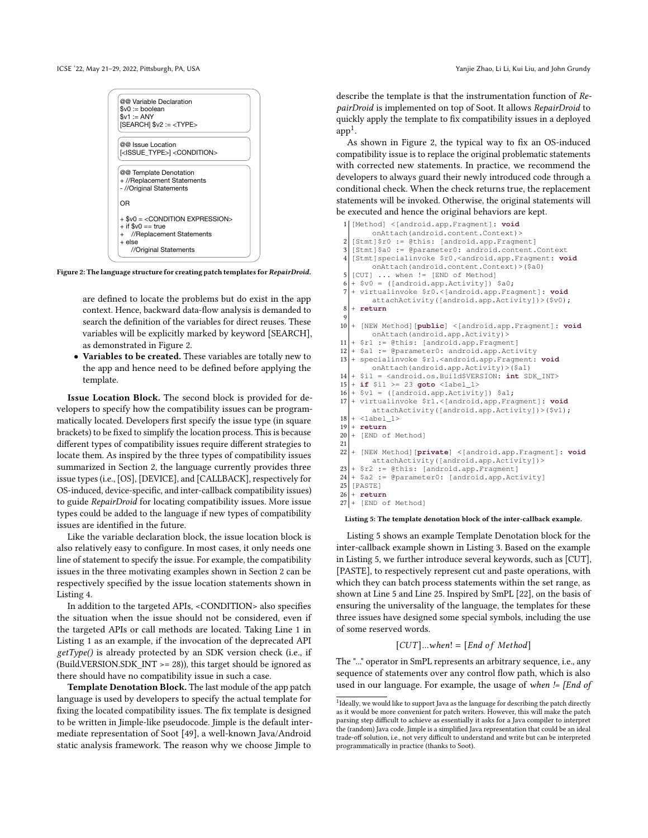<span id="page-3-0"></span>ICSE '22, May 21-29, 2022, Pittsburgh, PA, USA Yanjie Zhao, Li Li, Kui Liu, and John Grundy

| $\$v0 :=$ boolean       | @@ Variable Declaration                              |                                      |  |
|-------------------------|------------------------------------------------------|--------------------------------------|--|
| $$v1 := ANY$            |                                                      |                                      |  |
|                         | [SEARCH] \$v2 := <type></type>                       |                                      |  |
| @@ Issue Location       |                                                      |                                      |  |
|                         | <issue type="">1<condition></condition></issue>      |                                      |  |
| - //Original Statements | @@ Template Denotation<br>+ //Replacement Statements |                                      |  |
| ΩR                      |                                                      |                                      |  |
| $+$ if \$v0 == true     |                                                      | $+$ \$v0 = $<$ CONDITION EXPRESSION> |  |
| $+$ else                | + //Replacement Statements                           |                                      |  |
|                         | //Original Statements                                |                                      |  |

Figure 2: The language structure for creating patch templates for RepairDroid.

are defined to locate the problems but do exist in the app context. Hence, backward data-flow analysis is demanded to search the definition of the variables for direct reuses. These variables will be explicitly marked by keyword [SEARCH], as demonstrated in Figure [2.](#page-3-0)

Variables to be created. These variables are totally new to the app and hence need to be defined before applying the template.

Issue Location Block. The second block is provided for developers to specify how the compatibility issues can be programmatically located. Developers first specify the issue type (in square brackets) to be fixed to simplify the location process. This is because different types of compatibility issues require different strategies to locate them. As inspired by the three types of compatibility issues summarized in Section [2,](#page-1-1) the language currently provides three issue types (i.e., [OS], [DEVICE], and [CALLBACK], respectively for OS-induced, device-specific, and inter-callback compatibility issues) to guide RepairDroid for locating compatibility issues. More issue types could be added to the language if new types of compatibility issues are identified in the future.

Like the variable declaration block, the issue location block is also relatively easy to configure. In most cases, it only needs one line of statement to specify the issue. For example, the compatibility issues in the three motivating examples shown in Section [2](#page-1-1) can be respectively specified by the issue location statements shown in Listing [4.](#page-4-0)

In addition to the targeted APIs, <CONDITION> also specifies the situation when the issue should not be considered, even if the targeted APIs or call methods are located. Taking Line 1 in Listing [1](#page-1-0) as an example, if the invocation of the deprecated API  $getType()$  is already protected by an SDK version check (i.e., if (Build.VERSION.SDK\_INT >= 28)), this target should be ignored as there should have no compatibility issue in such a case.

Template Denotation Block. The last module of the app patch language is used by developers to specify the actual template for fixing the located compatibility issues. The fix template is designed to be written in Jimple-like pseudocode. Jimple is the default intermediate representation of Soot [\[49\]](#page-11-10), a well-known Java/Android static analysis framework. The reason why we choose Jimple to

describe the template is that the instrumentation function of RepairDroid is implemented on top of Soot. It allows RepairDroid to quickly apply the template to fix compatibility issues in a deployed  $app<sup>1</sup>$  $app<sup>1</sup>$  $app<sup>1</sup>$ .

As shown in Figure [2,](#page-3-0) the typical way to fix an OS-induced compatibility issue is to replace the original problematic statements with corrected new statements. In practice, we recommend the developers to always guard their newly introduced code through a conditional check. When the check returns true, the replacement statements will be invoked. Otherwise, the original statements will be executed and hence the original behaviors are kept.

```
1 [Method] <[android.app.Fragment]: void
          onAttach(android.content.Context)>
 2 [Stmt]$r0 := @this: [android.app.Fragment]
 3 [Stmt]$a0 := @parameter0: android.content.Context
 4 [Stmt]specialinvoke $r0.<android.app.Fragment: void
          onAttach(android.content.Context)>($a0)
 5 [CUT] ... when != [END of Method]<br>6 + $v0 = ([android.app.Activity]) $a0;
 7 + virtualinvoke $r0.<[android.app.Fragment]: void
          attachActivity([android.app.Activity])>($v0);
 8 + return
1010 + [NEW Method][public] <[android.app.Fragment]: void
          onAttach(android.app.Activity)>
11 \vert + $r1 := @this: [android.app.Fragment]
12 \mid + $a1 := @parameter0: android.app.Activity<br>13 \mid + specialinvoke $r1.<android.app.Fragment:
   13 + specialinvoke $r1.<android.app.Fragment: void
          onAttach(android.app.Activity)>($a1)
14 + $i1 = <android.os.Build$VERSION: int SDK_INT> 15 + if $i1 >= 23 goto <label_1>
15 \mid + \text{ if } $i1 >= 23 goto <label_1><br>16 \mid + \text{ Syl} = ([android.app.Activit
16 \mid + $v1 = ([android.app.Activity]) $a1;<br>17 + virtualinvoke $r1.<[android.app.Fra
    17 + virtualinvoke $r1.<[android.app.Fragment]: void
          attachActivity([android.app.Activity])>($v1);
18 \mid + \text{ <label\_1}>\begin{bmatrix} 19 \\ 20 \end{bmatrix} + return
    + [END of Method]
\frac{21}{22}22 + [NEW Method][private] <[android.app.Fragment]: void
          attachActivity([android.app.Activity])>
23 \mid + $r2 := @this: [android.app.Fragment]<br>24 \mid + $a2 := @parameter0: [android.app.Act
24 + $a2 := @parameter0: [android.app.Activity]<br>25 [PASTE]
\begin{bmatrix} 25 \\ 26 \end{bmatrix} [PASTE]
\begin{array}{c|c} 26 & + \textbf{return} \\ 27 & + \textbf{[END} \end{array}+ [END of Method]
 Listing 5: The template denotation block of the inter-callback example.
```
Listing [5](#page-3-2) shows an example Template Denotation block for the inter-callback example shown in Listing [3.](#page-2-1) Based on the example in Listing [5,](#page-3-2) we further introduce several keywords, such as [CUT], [PASTE], to respectively represent cut and paste operations, with which they can batch process statements within the set range, as shown at Line 5 and Line 25. Inspired by SmPL [\[22\]](#page-10-10), on the basis of ensuring the universality of the language, the templates for these three issues have designed some special symbols, including the use of some reserved words.

$$
[CUT]... when! = [End\ of\ Method]
$$

The "..." operator in SmPL represents an arbitrary sequence, i.e., any sequence of statements over any control flow path, which is also used in our language. For example, the usage of when != [End of

<span id="page-3-1"></span><sup>&</sup>lt;sup>1</sup> Ideally, we would like to support Java as the language for describing the patch directly as it would be more convenient for patch writers. However, this will make the patch parsing step difficult to achieve as essentially it asks for a Java compiler to interpret the (random) Java code. Jimple is a simplified Java representation that could be an ideal trade-off solution, i.e., not very difficult to understand and write but can be interpreted programmatically in practice (thanks to Soot).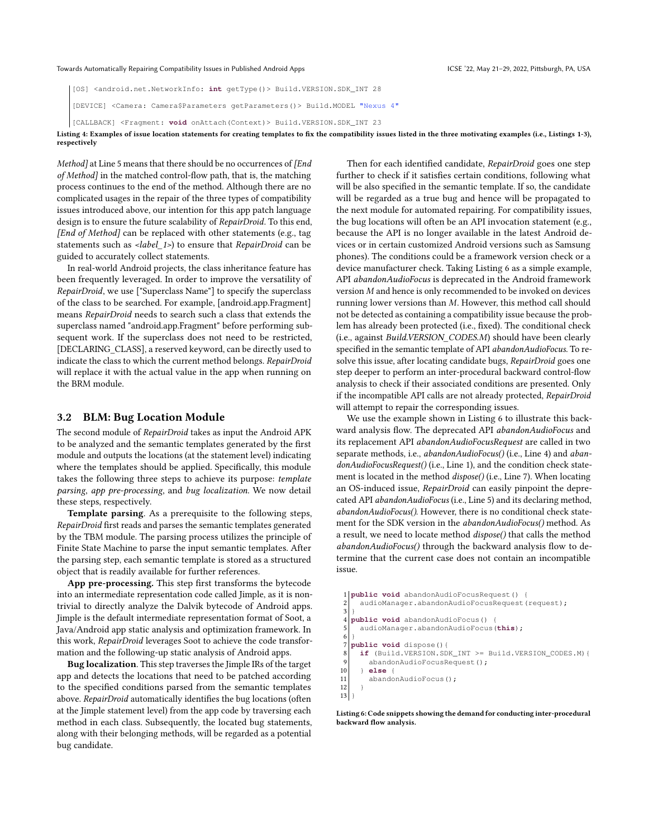<span id="page-4-0"></span>[OS] <android.net.NetworkInfo: **int** getType()> Build.VERSION.SDK\_INT 28

[DEVICE] <Camera: Camera\$Parameters getParameters()> Build.MODEL "Nexus 4"

[CALLBACK] <Fragment: **void** onAttach(Context)> Build.VERSION.SDK\_INT 23

Listing 4: Examples of issue location statements for creating templates to fix the compatibility issues listed in the three motivating examples (i.e., Listings 1-3), respectively

Method] at Line 5 means that there should be no occurrences of [End of Method] in the matched control-flow path, that is, the matching process continues to the end of the method. Although there are no complicated usages in the repair of the three types of compatibility issues introduced above, our intention for this app patch language design is to ensure the future scalability of RepairDroid. To this end, [End of Method] can be replaced with other statements (e.g., tag statements such as <label\_1>) to ensure that RepairDroid can be guided to accurately collect statements.

In real-world Android projects, the class inheritance feature has been frequently leveraged. In order to improve the versatility of RepairDroid, we use ["Superclass Name"] to specify the superclass of the class to be searched. For example, [android.app.Fragment] means RepairDroid needs to search such a class that extends the superclass named "android.app.Fragment" before performing subsequent work. If the superclass does not need to be restricted, [DECLARING CLASS], a reserved keyword, can be directly used to indicate the class to which the current method belongs. RepairDroid will replace it with the actual value in the app when running on the BRM module.

#### 3.2 BLM: Bug Location Module

The second module of RepairDroid takes as input the Android APK to be analyzed and the semantic templates generated by the first module and outputs the locations (at the statement level) indicating where the templates should be applied. Specifically, this module takes the following three steps to achieve its purpose: template parsing, app pre-processing, and bug localization. We now detail these steps, respectively.

Template parsing. As a prerequisite to the following steps, RepairDroid first reads and parses the semantic templates generated by the TBM module. The parsing process utilizes the principle of Finite State Machine to parse the input semantic templates. After the parsing step, each semantic template is stored as a structured object that is readily available for further references.

App pre-processing. This step first transforms the bytecode into an intermediate representation code called Jimple, as it is nontrivial to directly analyze the Dalvik bytecode of Android apps. Jimple is the default intermediate representation format of Soot, a Java/Android app static analysis and optimization framework. In this work, RepairDroid leverages Soot to achieve the code transformation and the following-up static analysis of Android apps.

Bug localization. This step traverses the Jimple IRs of the target app and detects the locations that need to be patched according to the specified conditions parsed from the semantic templates above. RepairDroid automatically identifies the bug locations (often at the Jimple statement level) from the app code by traversing each method in each class. Subsequently, the located bug statements, along with their belonging methods, will be regarded as a potential bug candidate.

Then for each identified candidate, RepairDroid goes one step further to check if it satisfies certain conditions, following what will be also specified in the semantic template. If so, the candidate will be regarded as a true bug and hence will be propagated to the next module for automated repairing. For compatibility issues, the bug locations will often be an API invocation statement (e.g., because the API is no longer available in the latest Android devices or in certain customized Android versions such as Samsung phones). The conditions could be a framework version check or a device manufacturer check. Taking Listing [6](#page-4-1) as a simple example, API abandonAudioFocus is deprecated in the Android framework version  $M$  and hence is only recommended to be invoked on devices running lower versions than  $M$ . However, this method call should not be detected as containing a compatibility issue because the problem has already been protected (i.e., fixed). The conditional check (i.e., against Build.VERSION\_CODES.M) should have been clearly specified in the semantic template of API abandonAudioFocus. To resolve this issue, after locating candidate bugs, RepairDroid goes one step deeper to perform an inter-procedural backward control-flow analysis to check if their associated conditions are presented. Only if the incompatible API calls are not already protected, RepairDroid will attempt to repair the corresponding issues.

We use the example shown in Listing [6](#page-4-1) to illustrate this backward analysis flow. The deprecated API abandonAudioFocus and its replacement API abandonAudioFocusRequest are called in two separate methods, i.e., abandonAudioFocus() (i.e., Line 4) and abandonAudioFocusRequest() (i.e., Line 1), and the condition check statement is located in the method  $dispose()$  (i.e., Line 7). When locating an OS-induced issue, RepairDroid can easily pinpoint the deprecated API abandonAudioFocus (i.e., Line 5) and its declaring method, abandonAudioFocus(). However, there is no conditional check statement for the SDK version in the abandonAudioFocus() method. As a result, we need to locate method dispose() that calls the method abandonAudioFocus() through the backward analysis flow to determine that the current case does not contain an incompatible issue.

```
1 public void abandonAudioFocusRequest() {
2 audioManager.abandonAudioFocusRequest(request);
 3 }
  4 public void abandonAudioFocus() {
    5 audioManager.abandonAudioFocus(this);
6 }
  7 public void dispose(){
    8 if (Build.VERSION.SDK_INT >= Build.VERSION_CODES.M){
9 abandonAudioFocusRequest();<br>10 } else {
10 } else {
       abandonAudioFocus();
12 }
13 }
```
Listing 6: Code snippets showing the demand for conducting inter-procedural backward flow analysis.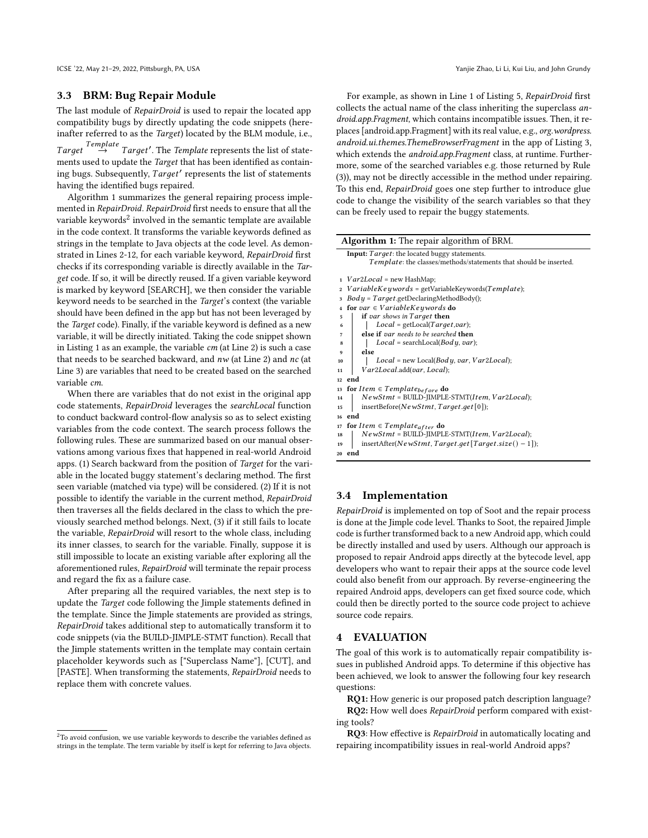ICSE '22, May 21-29, 2022, Pittsburgh, PA, USA Yanjie Zhao, Li Li, Kui Liu, and John Grundy

#### 3.3 BRM: Bug Repair Module

The last module of RepairDroid is used to repair the located app compatibility bugs by directly updating the code snippets (hereinafter referred to as the Target) located by the BLM module, i.e.,

 $Target \rightarrow Target'.$  The Template represents the list of statements used to update the Target that has been identified as containing bugs. Subsequently, Target' represents the list of statements having the identified bugs repaired.

Algorithm [1](#page-5-0) summarizes the general repairing process implemented in RepairDroid. RepairDroid first needs to ensure that all the variable keywords $^2$  $^2$  involved in the semantic template are available in the code context. It transforms the variable keywords defined as strings in the template to Java objects at the code level. As demonstrated in Lines 2-12, for each variable keyword, RepairDroid first checks if its corresponding variable is directly available in the Target code. If so, it will be directly reused. If a given variable keyword is marked by keyword [SEARCH], we then consider the variable keyword needs to be searched in the Target's context (the variable should have been defined in the app but has not been leveraged by the Target code). Finally, if the variable keyword is defined as a new variable, it will be directly initiated. Taking the code snippet shown in Listing [1](#page-1-0) as an example, the variable  $cm$  (at Line 2) is such a case that needs to be searched backward, and  $nw$  (at Line 2) and  $nc$  (at Line 3) are variables that need to be created based on the searched variable cm.

When there are variables that do not exist in the original app code statements, RepairDroid leverages the searchLocal function to conduct backward control-flow analysis so as to select existing variables from the code context. The search process follows the following rules. These are summarized based on our manual observations among various fixes that happened in real-world Android apps. (1) Search backward from the position of Target for the variable in the located buggy statement's declaring method. The first seen variable (matched via type) will be considered. (2) If it is not possible to identify the variable in the current method, RepairDroid then traverses all the fields declared in the class to which the previously searched method belongs. Next, (3) if it still fails to locate the variable, RepairDroid will resort to the whole class, including its inner classes, to search for the variable. Finally, suppose it is still impossible to locate an existing variable after exploring all the aforementioned rules, RepairDroid will terminate the repair process and regard the fix as a failure case.

After preparing all the required variables, the next step is to update the Target code following the Jimple statements defined in the template. Since the Jimple statements are provided as strings, RepairDroid takes additional step to automatically transform it to code snippets (via the BUILD-JIMPLE-STMT function). Recall that the Jimple statements written in the template may contain certain placeholder keywords such as ["Superclass Name"], [CUT], and [PASTE]. When transforming the statements, RepairDroid needs to replace them with concrete values.

For example, as shown in Line 1 of Listing [5,](#page-3-2) RepairDroid first collects the actual name of the class inheriting the superclass android.app.Fragment, which contains incompatible issues. Then, it replaces [android.app.Fragment] with its real value, e.g., org.wordpress. android.ui.themes.ThemeBrowserFragment in the app of Listing [3,](#page-2-1) which extends the *android.app.Fragment* class, at runtime. Furthermore, some of the searched variables e.g. those returned by Rule (3)), may not be directly accessible in the method under repairing. To this end, RepairDroid goes one step further to introduce glue code to change the visibility of the search variables so that they can be freely used to repair the buggy statements.

<span id="page-5-0"></span>

| <b>Algorithm 1:</b> The repair algorithm of BRM.                           |  |  |  |
|----------------------------------------------------------------------------|--|--|--|
| Input: Target: the located buggy statements.                               |  |  |  |
| Template: the classes/methods/statements that should be inserted.          |  |  |  |
| $Var2Local = new HashMap;$<br>$\mathbf{1}$                                 |  |  |  |
| $Variable Key words = getVariable Key words (Template);$<br>$\overline{2}$ |  |  |  |
| $Body = Target.getDeclaringMethodBody();$                                  |  |  |  |
| for var $\in VariableKeywords$ do<br>4                                     |  |  |  |
| if var shows in Target then<br>5                                           |  |  |  |
| $Local = getLocal(Target, var);$<br>6                                      |  |  |  |
| else if var needs to be searched then<br>7                                 |  |  |  |
| $Local = searchLocal(Body, var);$<br>8                                     |  |  |  |
| else<br>9                                                                  |  |  |  |
| $Local = new Local(Body, var, Var2Local);$<br>10                           |  |  |  |
| Var2Local.add(var, Local);<br>11                                           |  |  |  |
| end<br>12                                                                  |  |  |  |
| for Item $\in$ Template <sub>before</sub> do<br>13                         |  |  |  |
| $Newtont = BULD$ -JIMPLE-STMT(Item, $Var2Local$ );<br>14                   |  |  |  |
| insertBefore(NewStmt, Target.get[0]);<br>15                                |  |  |  |
| end<br>16                                                                  |  |  |  |
| for Item $\in$ Template <sub>after</sub> do<br>17                          |  |  |  |
| $Newtont = BULD$ -JIMPLE-STMT(Item, $Var2Local$ );<br>18                   |  |  |  |
| insertAfter(NewStmt, Target.get[Target.size() - 1]);<br>19                 |  |  |  |
| end<br>20                                                                  |  |  |  |

#### 3.4 Implementation

RepairDroid is implemented on top of Soot and the repair process is done at the Jimple code level. Thanks to Soot, the repaired Jimple code is further transformed back to a new Android app, which could be directly installed and used by users. Although our approach is proposed to repair Android apps directly at the bytecode level, app developers who want to repair their apps at the source code level could also benefit from our approach. By reverse-engineering the repaired Android apps, developers can get fixed source code, which could then be directly ported to the source code project to achieve source code repairs.

#### 4 EVALUATION

The goal of this work is to automatically repair compatibility issues in published Android apps. To determine if this objective has been achieved, we look to answer the following four key research questions:

RQ1: How generic is our proposed patch description language? RQ2: How well does RepairDroid perform compared with existing tools?

RQ3: How effective is RepairDroid in automatically locating and repairing incompatibility issues in real-world Android apps?

<span id="page-5-1"></span> $2$ To avoid confusion, we use variable keywords to describe the variables defined as strings in the template. The term variable by itself is kept for referring to Java objects.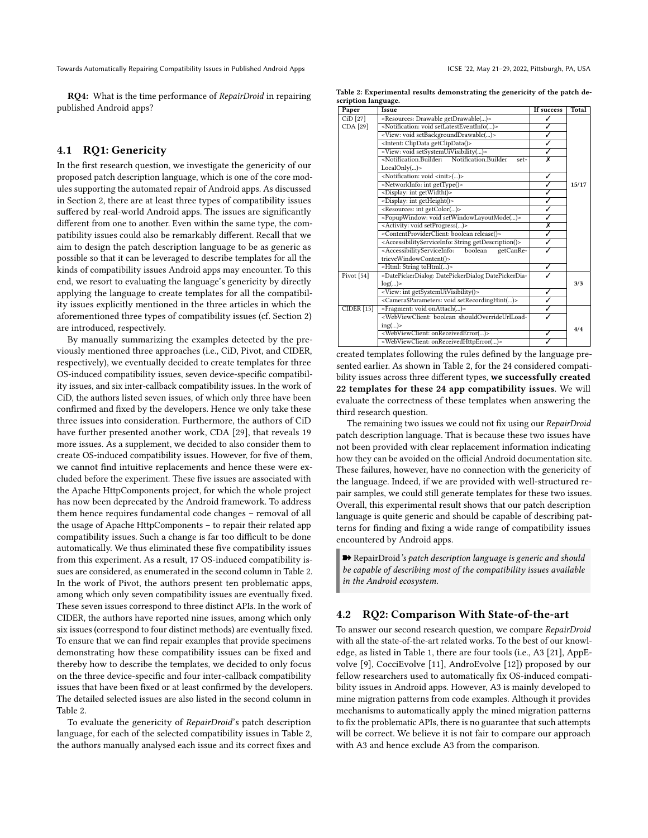RQ4: What is the time performance of RepairDroid in repairing published Android apps?

# 4.1 RQ1: Genericity

In the first research question, we investigate the genericity of our proposed patch description language, which is one of the core modules supporting the automated repair of Android apps. As discussed in Section [2,](#page-1-1) there are at least three types of compatibility issues suffered by real-world Android apps. The issues are significantly different from one to another. Even within the same type, the compatibility issues could also be remarkably different. Recall that we aim to design the patch description language to be as generic as possible so that it can be leveraged to describe templates for all the kinds of compatibility issues Android apps may encounter. To this end, we resort to evaluating the language's genericity by directly applying the language to create templates for all the compatibility issues explicitly mentioned in the three articles in which the aforementioned three types of compatibility issues (cf. Section [2\)](#page-1-1) are introduced, respectively.

By manually summarizing the examples detected by the previously mentioned three approaches (i.e., CiD, Pivot, and CIDER, respectively), we eventually decided to create templates for three OS-induced compatibility issues, seven device-specific compatibility issues, and six inter-callback compatibility issues. In the work of CiD, the authors listed seven issues, of which only three have been confirmed and fixed by the developers. Hence we only take these three issues into consideration. Furthermore, the authors of CiD have further presented another work, CDA [\[29\]](#page-11-11), that reveals 19 more issues. As a supplement, we decided to also consider them to create OS-induced compatibility issues. However, for five of them, we cannot find intuitive replacements and hence these were excluded before the experiment. These five issues are associated with the Apache HttpComponents project, for which the whole project has now been deprecated by the Android framework. To address them hence requires fundamental code changes – removal of all the usage of Apache HttpComponents – to repair their related app compatibility issues. Such a change is far too difficult to be done automatically. We thus eliminated these five compatibility issues from this experiment. As a result, 17 OS-induced compatibility issues are considered, as enumerated in the second column in Table [2.](#page-6-0) In the work of Pivot, the authors present ten problematic apps, among which only seven compatibility issues are eventually fixed. These seven issues correspond to three distinct APIs. In the work of CIDER, the authors have reported nine issues, among which only six issues (correspond to four distinct methods) are eventually fixed. To ensure that we can find repair examples that provide specimens demonstrating how these compatibility issues can be fixed and thereby how to describe the templates, we decided to only focus on the three device-specific and four inter-callback compatibility issues that have been fixed or at least confirmed by the developers. The detailed selected issues are also listed in the second column in Table [2.](#page-6-0)

To evaluate the genericity of RepairDroid's patch description language, for each of the selected compatibility issues in Table [2,](#page-6-0) the authors manually analysed each issue and its correct fixes and

<span id="page-6-0"></span>Table 2: Experimental results demonstrating the genericity of the patch description language.

| Paper                 | Issue                                                                                                  | If success              | Total |
|-----------------------|--------------------------------------------------------------------------------------------------------|-------------------------|-------|
| CiD [27]              | <resources: drawable="" getdrawable()=""></resources:>                                                 |                         |       |
| CDA [29]              | <notification: setlatesteventinfo()="" void=""></notification:>                                        | ℐ                       |       |
|                       | <view: setbackgrounddrawable()="" void=""></view:>                                                     | ✓                       |       |
|                       | <intent: clipdata="" getclipdata()=""></intent:>                                                       | J                       |       |
|                       | <view: setsystemuivisibility()="" void=""></view:>                                                     | ℐ                       |       |
|                       | <notification.builder:<br>Notification Builder<br/>set-</notification.builder:<br>                     | $\overline{\mathsf{x}}$ |       |
|                       | LocalOnly()                                                                                            |                         |       |
|                       | <notification: <init="" void="">()&gt;</notification:>                                                 | ✓                       |       |
|                       | <networkinfo: gettype()="" int=""></networkinfo:>                                                      | ✓                       | 15/17 |
|                       | <display: getwidth()="" int=""></display:>                                                             | ✓                       |       |
|                       | <display: getheight()="" int=""></display:>                                                            | ✓                       |       |
|                       | <resources: getcolor()="" int=""></resources:>                                                         | ✓                       |       |
|                       | <popupwindow: setwindowlayoutmode()="" void=""></popupwindow:>                                         | J                       |       |
|                       | <activity: setprogress()="" void=""></activity:>                                                       | Х                       |       |
|                       | <contentproviderclient: boolean="" release()=""></contentproviderclient:>                              | ✓                       |       |
|                       | <accessibilityserviceinfo: getdescription()="" string=""></accessibilityserviceinfo:>                  | ✓                       |       |
|                       | <accessibilityserviceinfo:<br>boolean<br/>getCanRe-</accessibilityserviceinfo:<br>                     |                         |       |
|                       | trieveWindowContent()>                                                                                 |                         |       |
|                       | <html: string="" tohtml()=""></html:>                                                                  | ✓                       |       |
| Pivot <sup>[54]</sup> | <datepickerdialog: datepickerdia-<="" datepickerdialog="" td=""><td></td><td></td></datepickerdialog:> |                         |       |
|                       | log()                                                                                                  |                         | 3/3   |
|                       | <view: getsystemuivisibility()="" int=""></view:>                                                      | ✓                       |       |
|                       | <camera\$parameters: setrecordinghint()="" void=""></camera\$parameters:>                              | J                       |       |
| <b>CIDER</b> [15]     | <fragment: onattach()="" void=""></fragment:>                                                          | ✓                       |       |
|                       | <webviewclient: boolean_shouldoverrideurlload-<="" td=""><td></td><td></td></webviewclient:>           |                         |       |
|                       | ing()                                                                                                  |                         |       |
|                       | <webviewclient: onreceivederror()=""></webviewclient:>                                                 | J                       | 4/4   |
|                       | <webviewclient: onreceivedhttperror()=""></webviewclient:>                                             |                         |       |

created templates following the rules defined by the language presented earlier. As shown in Table [2,](#page-6-0) for the 24 considered compatibility issues across three different types, we successfully created 22 templates for these 24 app compatibility issues. We will evaluate the correctness of these templates when answering the third research question.

The remaining two issues we could not fix using our RepairDroid patch description language. That is because these two issues have not been provided with clear replacement information indicating how they can be avoided on the official Android documentation site. These failures, however, have no connection with the genericity of the language. Indeed, if we are provided with well-structured repair samples, we could still generate templates for these two issues. Overall, this experimental result shows that our patch description language is quite generic and should be capable of describing patterns for finding and fixing a wide range of compatibility issues encountered by Android apps.

**■** RepairDroid's patch description language is generic and should be capable of describing most of the compatibility issues available in the Android ecosystem.

#### 4.2 RQ2: Comparison With State-of-the-art

To answer our second research question, we compare RepairDroid with all the state-of-the-art related works. To the best of our knowledge, as listed in Table [1,](#page-2-2) there are four tools (i.e., A3 [\[21\]](#page-10-6), AppEvolve [\[9\]](#page-10-1), CocciEvolve [\[11\]](#page-10-2), AndroEvolve [\[12\]](#page-10-3)) proposed by our fellow researchers used to automatically fix OS-induced compatibility issues in Android apps. However, A3 is mainly developed to mine migration patterns from code examples. Although it provides mechanisms to automatically apply the mined migration patterns to fix the problematic APIs, there is no guarantee that such attempts will be correct. We believe it is not fair to compare our approach with A3 and hence exclude A3 from the comparison.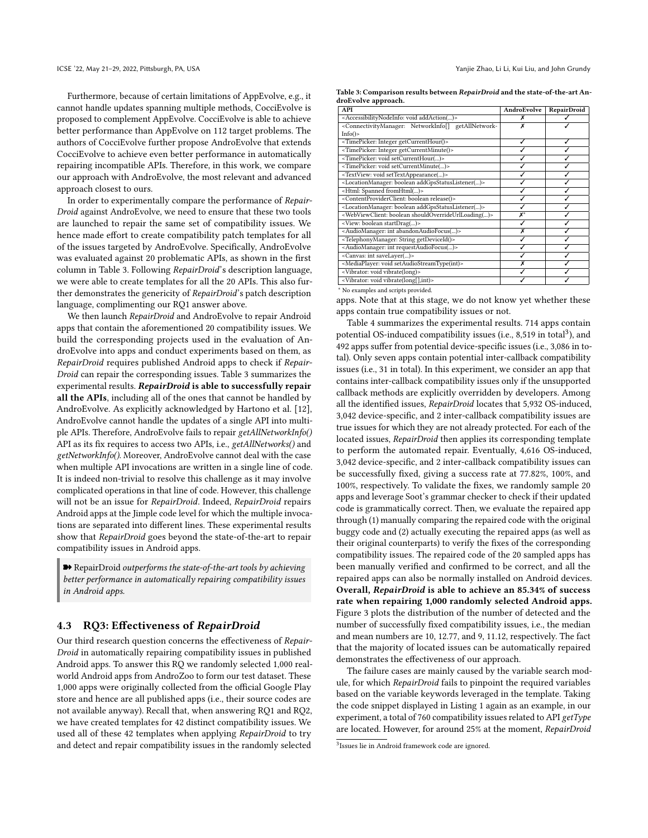Furthermore, because of certain limitations of AppEvolve, e.g., it cannot handle updates spanning multiple methods, CocciEvolve is proposed to complement AppEvolve. CocciEvolve is able to achieve better performance than AppEvolve on 112 target problems. The authors of CocciEvolve further propose AndroEvolve that extends CocciEvolve to achieve even better performance in automatically repairing incompatible APIs. Therefore, in this work, we compare our approach with AndroEvolve, the most relevant and advanced approach closest to ours.

In order to experimentally compare the performance of Repair-Droid against AndroEvolve, we need to ensure that these two tools are launched to repair the same set of compatibility issues. We hence made effort to create compatibility patch templates for all of the issues targeted by AndroEvolve. Specifically, AndroEvolve was evaluated against 20 problematic APIs, as shown in the first column in Table [3.](#page-7-0) Following RepairDroid's description language, we were able to create templates for all the 20 APIs. This also further demonstrates the genericity of RepairDroid's patch description language, complimenting our RQ1 answer above.

We then launch RepairDroid and AndroEvolve to repair Android apps that contain the aforementioned 20 compatibility issues. We build the corresponding projects used in the evaluation of AndroEvolve into apps and conduct experiments based on them, as RepairDroid requires published Android apps to check if Repair-Droid can repair the corresponding issues. Table [3](#page-7-0) summarizes the experimental results. RepairDroid is able to successfully repair all the APIs, including all of the ones that cannot be handled by AndroEvolve. As explicitly acknowledged by Hartono et al. [\[12\]](#page-10-3), AndroEvolve cannot handle the updates of a single API into multiple APIs. Therefore, AndroEvolve fails to repair getAllNetworkInfo() API as its fix requires to access two APIs, i.e., getAllNetworks() and getNetworkInfo(). Moreover, AndroEvolve cannot deal with the case when multiple API invocations are written in a single line of code. It is indeed non-trivial to resolve this challenge as it may involve complicated operations in that line of code. However, this challenge will not be an issue for RepairDroid. Indeed, RepairDroid repairs Android apps at the Jimple code level for which the multiple invocations are separated into different lines. These experimental results show that RepairDroid goes beyond the state-of-the-art to repair compatibility issues in Android apps.

➽ RepairDroid outperforms the state-of-the-art tools by achieving better performance in automatically repairing compatibility issues in Android apps.

#### 4.3 RQ3: Effectiveness of RepairDroid

Our third research question concerns the effectiveness of Repair-Droid in automatically repairing compatibility issues in published Android apps. To answer this RQ we randomly selected 1,000 realworld Android apps from AndroZoo to form our test dataset. These 1,000 apps were originally collected from the official Google Play store and hence are all published apps (i.e., their source codes are not available anyway). Recall that, when answering RQ1 and RQ2, we have created templates for 42 distinct compatibility issues. We used all of these 42 templates when applying RepairDroid to try and detect and repair compatibility issues in the randomly selected

<span id="page-7-0"></span>Table 3: Comparison results between RepairDroid and the state-of-the-art AndroEvolve approach.

| API                                                                                                        | AndroEvolve    | <b>RepairDroid</b> |
|------------------------------------------------------------------------------------------------------------|----------------|--------------------|
| <accessibilitynodeinfo: addaction()="" void=""></accessibilitynodeinfo:>                                   | х              |                    |
| <connectivitymanager: getallnetwork-<="" networkinfo[]="" td=""><td>х</td><td></td></connectivitymanager:> | х              |                    |
| Info()                                                                                                     |                |                    |
| <timepicker: getcurrenthour()="" integer=""></timepicker:>                                                 |                |                    |
| <timepicker: getcurrentminute()="" integer=""></timepicker:>                                               |                |                    |
| <timepicker: setcurrenthour()="" void=""></timepicker:>                                                    |                |                    |
| <timepicker: setcurrentminute()="" void=""></timepicker:>                                                  |                |                    |
| <textview: settextappearance()="" void=""></textview:>                                                     |                |                    |
| <locationmanager: addgpsstatuslistener()="" boolean=""></locationmanager:>                                 |                |                    |
| <html: fromhtml()="" spanned=""></html:>                                                                   |                |                    |
| <contentproviderclient: boolean="" release()=""></contentproviderclient:>                                  |                |                    |
| <locationmanager: addgpsstatuslistener()="" boolean=""></locationmanager:>                                 |                |                    |
| <webviewclient: boolean="" shouldoverrideurlloading()=""></webviewclient:>                                 | $\mathsf{x}^*$ |                    |
| <view: boolean="" startdrag()=""></view:>                                                                  |                |                    |
| <audiomanager: abandonaudiofocus()="" int=""></audiomanager:>                                              | x              |                    |
| <telephonymanager: getdeviceid()="" string=""></telephonymanager:>                                         |                |                    |
| <audiomanager: int="" requestaudiofocus()=""></audiomanager:>                                              |                |                    |
| <canvas: int="" savelayer()=""></canvas:>                                                                  |                |                    |
| <mediaplayer: setaudiostreamtype(int)="" void=""></mediaplayer:>                                           | x              |                    |
| <vibrator: vibrate(long)="" void=""></vibrator:>                                                           |                |                    |
| <vibrator: vibrate(long[],int)="" void=""></vibrator:>                                                     |                |                    |

<sup>∗</sup> No examples and scripts provided.

apps. Note that at this stage, we do not know yet whether these apps contain true compatibility issues or not.

Table [4](#page-8-0) summarizes the experimental results. 714 apps contain potential OS-induced compatibility issues (i.e., 8,519 in total<sup>[3](#page-7-1)</sup>), and 492 apps suffer from potential device-specific issues (i.e., 3,086 in total). Only seven apps contain potential inter-callback compatibility issues (i.e., 31 in total). In this experiment, we consider an app that contains inter-callback compatibility issues only if the unsupported callback methods are explicitly overridden by developers. Among all the identified issues, RepairDroid locates that 5,932 OS-induced, 3,042 device-specific, and 2 inter-callback compatibility issues are true issues for which they are not already protected. For each of the located issues, RepairDroid then applies its corresponding template to perform the automated repair. Eventually, 4,616 OS-induced, 3,042 device-specific, and 2 inter-callback compatibility issues can be successfully fixed, giving a success rate at 77.82%, 100%, and 100%, respectively. To validate the fixes, we randomly sample 20 apps and leverage Soot's grammar checker to check if their updated code is grammatically correct. Then, we evaluate the repaired app through (1) manually comparing the repaired code with the original buggy code and (2) actually executing the repaired apps (as well as their original counterparts) to verify the fixes of the corresponding compatibility issues. The repaired code of the 20 sampled apps has been manually verified and confirmed to be correct, and all the repaired apps can also be normally installed on Android devices. Overall, RepairDroid is able to achieve an 85.34% of success rate when repairing 1,000 randomly selected Android apps. Figure [3](#page-8-1) plots the distribution of the number of detected and the number of successfully fixed compatibility issues, i.e., the median and mean numbers are 10, 12.77, and 9, 11.12, respectively. The fact that the majority of located issues can be automatically repaired demonstrates the effectiveness of our approach.

The failure cases are mainly caused by the variable search module, for which RepairDroid fails to pinpoint the required variables based on the variable keywords leveraged in the template. Taking the code snippet displayed in Listing [1](#page-1-0) again as an example, in our experiment, a total of 760 compatibility issues related to API getType are located. However, for around 25% at the moment, RepairDroid

<span id="page-7-1"></span><sup>3</sup> Issues lie in Android framework code are ignored.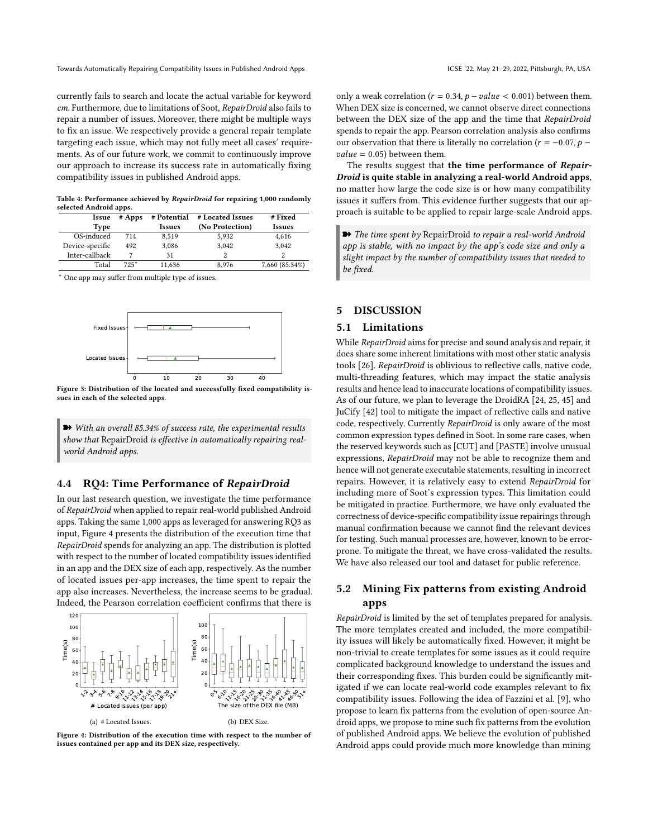currently fails to search and locate the actual variable for keyword cm. Furthermore, due to limitations of Soot, RepairDroid also fails to repair a number of issues. Moreover, there might be multiple ways to fix an issue. We respectively provide a general repair template targeting each issue, which may not fully meet all cases' requirements. As of our future work, we commit to continuously improve our approach to increase its success rate in automatically fixing compatibility issues in published Android apps.

Table 4: Performance achieved by RepairDroid for repairing 1,000 randomly selected Android apps.

<span id="page-8-0"></span>

| Issue           | $#$ Apps | # Potential   | # Located Issues | # Fixed        |
|-----------------|----------|---------------|------------------|----------------|
| Type            |          | <b>Issues</b> | (No Protection)  | <b>Issues</b>  |
| OS-induced      | 714      | 8.519         | 5.932            | 4,616          |
| Device-specific | 492      | 3.086         | 3.042            | 3.042          |
| Inter-callback  |          | 31            |                  |                |
| Total           | $725*$   | 11,636        | 8.976            | 7,660 (85.34%) |

<sup>∗</sup> One app may suffer from multiple type of issues.

<span id="page-8-1"></span>

Figure 3: Distribution of the located and successfully fixed compatibility issues in each of the selected apps.

➽ With an overall 85.34% of success rate, the experimental results show that RepairDroid is effective in automatically repairing realworld Android apps.

## 4.4 RQ4: Time Performance of RepairDroid

In our last research question, we investigate the time performance of RepairDroid when applied to repair real-world published Android apps. Taking the same 1,000 apps as leveraged for answering RQ3 as input, Figure [4](#page-8-2) presents the distribution of the execution time that RepairDroid spends for analyzing an app. The distribution is plotted with respect to the number of located compatibility issues identified in an app and the DEX size of each app, respectively. As the number of located issues per-app increases, the time spent to repair the app also increases. Nevertheless, the increase seems to be gradual. Indeed, the Pearson correlation coefficient confirms that there is

<span id="page-8-2"></span>

Figure 4: Distribution of the execution time with respect to the number of issues contained per app and its DEX size, respectively.

only a weak correlation ( $r = 0.34$ ,  $p - value < 0.001$ ) between them. When DEX size is concerned, we cannot observe direct connections between the DEX size of the app and the time that RepairDroid spends to repair the app. Pearson correlation analysis also confirms our observation that there is literally no correlation ( $r = -0.07$ ,  $p$  $value = 0.05$ ) between them.

The results suggest that the time performance of Repair-Droid is quite stable in analyzing a real-world Android apps, no matter how large the code size is or how many compatibility issues it suffers from. This evidence further suggests that our approach is suitable to be applied to repair large-scale Android apps.

**■** The time spent by RepairDroid to repair a real-world Android app is stable, with no impact by the app's code size and only a slight impact by the number of compatibility issues that needed to be fixed.

# 5 DISCUSSION

#### 5.1 Limitations

While RepairDroid aims for precise and sound analysis and repair, it does share some inherent limitations with most other static analysis tools [\[26\]](#page-11-1). RepairDroid is oblivious to reflective calls, native code, multi-threading features, which may impact the static analysis results and hence lead to inaccurate locations of compatibility issues. As of our future, we plan to leverage the DroidRA [\[24,](#page-10-11) [25,](#page-11-12) [45\]](#page-11-13) and JuCify [\[42\]](#page-11-14) tool to mitigate the impact of reflective calls and native code, respectively. Currently RepairDroid is only aware of the most common expression types defined in Soot. In some rare cases, when the reserved keywords such as [CUT] and [PASTE] involve unusual expressions, RepairDroid may not be able to recognize them and hence will not generate executable statements, resulting in incorrect repairs. However, it is relatively easy to extend RepairDroid for including more of Soot's expression types. This limitation could be mitigated in practice. Furthermore, we have only evaluated the correctness of device-specific compatibility issue repairings through manual confirmation because we cannot find the relevant devices for testing. Such manual processes are, however, known to be errorprone. To mitigate the threat, we have cross-validated the results. We have also released our tool and dataset for public reference.

# 5.2 Mining Fix patterns from existing Android apps

RepairDroid is limited by the set of templates prepared for analysis. The more templates created and included, the more compatibility issues will likely be automatically fixed. However, it might be non-trivial to create templates for some issues as it could require complicated background knowledge to understand the issues and their corresponding fixes. This burden could be significantly mitigated if we can locate real-world code examples relevant to fix compatibility issues. Following the idea of Fazzini et al. [\[9\]](#page-10-1), who propose to learn fix patterns from the evolution of open-source Android apps, we propose to mine such fix patterns from the evolution of published Android apps. We believe the evolution of published Android apps could provide much more knowledge than mining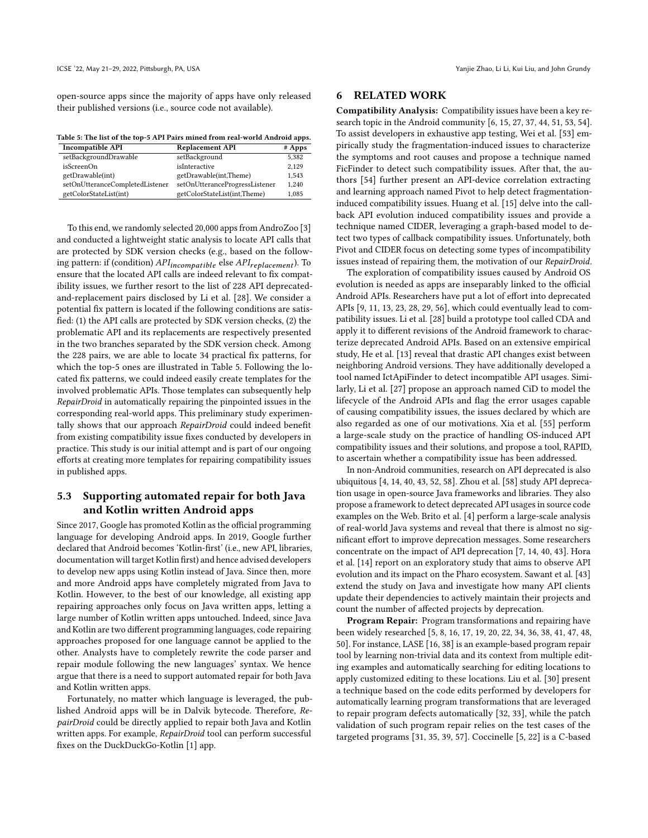open-source apps since the majority of apps have only released their published versions (i.e., source code not available).

<span id="page-9-0"></span>Table 5: The list of the top-5 API Pairs mined from real-world Android apps.

| <b>Incompatible API</b>         | <b>Replacement API</b>         | $#$ Apps |
|---------------------------------|--------------------------------|----------|
| setBackgroundDrawable           | setBackground                  | 5.382    |
| isScreenOn                      | isInteractive                  | 2.129    |
| getDrawable(int)                | getDrawable(int,Theme)         | 1.543    |
| setOnUtteranceCompletedListener | setOnUtteranceProgressListener | 1.240    |
| getColorStateList(int)          | getColorStateList(int,Theme)   | 1.085    |

To this end, we randomly selected 20,000 apps from AndroZoo [\[3\]](#page-10-12) and conducted a lightweight static analysis to locate API calls that are protected by SDK version checks (e.g., based on the following pattern: if (condition)  $API_{incompatible}$  else  $API_{replacement}$ ). To ensure that the located API calls are indeed relevant to fix compatibility issues, we further resort to the list of 228 API deprecatedand-replacement pairs disclosed by Li et al. [\[28\]](#page-11-15). We consider a potential fix pattern is located if the following conditions are satisfied: (1) the API calls are protected by SDK version checks, (2) the problematic API and its replacements are respectively presented in the two branches separated by the SDK version check. Among the 228 pairs, we are able to locate 34 practical fix patterns, for which the top-5 ones are illustrated in Table [5.](#page-9-0) Following the located fix patterns, we could indeed easily create templates for the involved problematic APIs. Those templates can subsequently help RepairDroid in automatically repairing the pinpointed issues in the corresponding real-world apps. This preliminary study experimentally shows that our approach RepairDroid could indeed benefit from existing compatibility issue fixes conducted by developers in practice. This study is our initial attempt and is part of our ongoing efforts at creating more templates for repairing compatibility issues in published apps.

# 5.3 Supporting automated repair for both Java and Kotlin written Android apps

Since 2017, Google has promoted Kotlin as the official programming language for developing Android apps. In 2019, Google further declared that Android becomes 'Kotlin-first' (i.e., new API, libraries, documentation will target Kotlin first) and hence advised developers to develop new apps using Kotlin instead of Java. Since then, more and more Android apps have completely migrated from Java to Kotlin. However, to the best of our knowledge, all existing app repairing approaches only focus on Java written apps, letting a large number of Kotlin written apps untouched. Indeed, since Java and Kotlin are two different programming languages, code repairing approaches proposed for one language cannot be applied to the other. Analysts have to completely rewrite the code parser and repair module following the new languages' syntax. We hence argue that there is a need to support automated repair for both Java and Kotlin written apps.

Fortunately, no matter which language is leveraged, the published Android apps will be in Dalvik bytecode. Therefore, RepairDroid could be directly applied to repair both Java and Kotlin written apps. For example, RepairDroid tool can perform successful fixes on the DuckDuckGo-Kotlin [\[1\]](#page-10-13) app.

# 6 RELATED WORK

Compatibility Analysis: Compatibility issues have been a key research topic in the Android community [\[6,](#page-10-14) [15,](#page-10-9) [27,](#page-11-7) [37,](#page-11-16) [44,](#page-11-17) [51,](#page-11-18) [53,](#page-11-6) [54\]](#page-11-9). To assist developers in exhaustive app testing, Wei et al. [\[53\]](#page-11-6) empirically study the fragmentation-induced issues to characterize the symptoms and root causes and propose a technique named FicFinder to detect such compatibility issues. After that, the authors [\[54\]](#page-11-9) further present an API-device correlation extracting and learning approach named Pivot to help detect fragmentationinduced compatibility issues. Huang et al. [\[15\]](#page-10-9) delve into the callback API evolution induced compatibility issues and provide a technique named CIDER, leveraging a graph-based model to detect two types of callback compatibility issues. Unfortunately, both Pivot and CIDER focus on detecting some types of incompatibility issues instead of repairing them, the motivation of our RepairDroid.

The exploration of compatibility issues caused by Android OS evolution is needed as apps are inseparably linked to the official Android APIs. Researchers have put a lot of effort into deprecated APIs [\[9,](#page-10-1) [11,](#page-10-2) [13,](#page-10-15) [23,](#page-10-16) [28,](#page-11-15) [29,](#page-11-11) [56\]](#page-11-4), which could eventually lead to compatibility issues. Li et al. [\[28\]](#page-11-15) build a prototype tool called CDA and apply it to different revisions of the Android framework to characterize deprecated Android APIs. Based on an extensive empirical study, He et al. [\[13\]](#page-10-15) reveal that drastic API changes exist between neighboring Android versions. They have additionally developed a tool named IctApiFinder to detect incompatible API usages. Similarly, Li et al. [\[27\]](#page-11-7) propose an approach named CiD to model the lifecycle of the Android APIs and flag the error usages capable of causing compatibility issues, the issues declared by which are also regarded as one of our motivations. Xia et al. [\[55\]](#page-11-19) perform a large-scale study on the practice of handling OS-induced API compatibility issues and their solutions, and propose a tool, RAPID, to ascertain whether a compatibility issue has been addressed.

In non-Android communities, research on API deprecated is also ubiquitous [\[4,](#page-10-0) [14,](#page-10-4) [40,](#page-11-2) [43,](#page-11-3) [52,](#page-11-20) [58\]](#page-11-5). Zhou et al. [\[58\]](#page-11-5) study API deprecation usage in open-source Java frameworks and libraries. They also propose a framework to detect deprecated API usages in source code examples on the Web. Brito et al. [\[4\]](#page-10-0) perform a large-scale analysis of real-world Java systems and reveal that there is almost no significant effort to improve deprecation messages. Some researchers concentrate on the impact of API deprecation [\[7,](#page-10-17) [14,](#page-10-4) [40,](#page-11-2) [43\]](#page-11-3). Hora et al. [\[14\]](#page-10-4) report on an exploratory study that aims to observe API evolution and its impact on the Pharo ecosystem. Sawant et al. [\[43\]](#page-11-3) extend the study on Java and investigate how many API clients update their dependencies to actively maintain their projects and count the number of affected projects by deprecation.

Program Repair: Program transformations and repairing have been widely researched [\[5,](#page-10-18) [8,](#page-10-19) [16,](#page-10-20) [17,](#page-10-21) [19,](#page-10-22) [20,](#page-10-23) [22,](#page-10-10) [34,](#page-11-21) [36,](#page-11-22) [38,](#page-11-23) [41,](#page-11-24) [47,](#page-11-25) [48,](#page-11-26) [50\]](#page-11-27). For instance, LASE [\[16,](#page-10-20) [38\]](#page-11-23) is an example-based program repair tool by learning non-trivial data and its context from multiple editing examples and automatically searching for editing locations to apply customized editing to these locations. Liu et al. [\[30\]](#page-11-28) present a technique based on the code edits performed by developers for automatically learning program transformations that are leveraged to repair program defects automatically [\[32,](#page-11-29) [33\]](#page-11-30), while the patch validation of such program repair relies on the test cases of the targeted programs [\[31,](#page-11-31) [35,](#page-11-32) [39,](#page-11-33) [57\]](#page-11-34). Coccinelle [\[5,](#page-10-18) [22\]](#page-10-10) is a C-based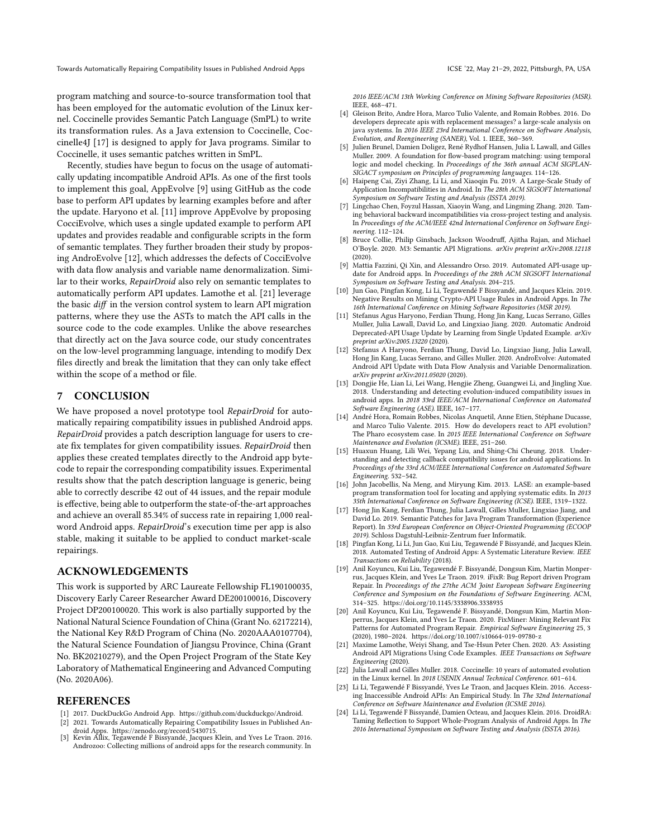program matching and source-to-source transformation tool that has been employed for the automatic evolution of the Linux kernel. Coccinelle provides Semantic Patch Language (SmPL) to write its transformation rules. As a Java extension to Coccinelle, Coccinelle4J [\[17\]](#page-10-21) is designed to apply for Java programs. Similar to Coccinelle, it uses semantic patches written in SmPL.

Recently, studies have begun to focus on the usage of automatically updating incompatible Android APIs. As one of the first tools to implement this goal, AppEvolve [\[9\]](#page-10-1) using GitHub as the code base to perform API updates by learning examples before and after the update. Haryono et al. [\[11\]](#page-10-2) improve AppEvolve by proposing CocciEvolve, which uses a single updated example to perform API updates and provides readable and configurable scripts in the form of semantic templates. They further broaden their study by proposing AndroEvolve [\[12\]](#page-10-3), which addresses the defects of CocciEvolve with data flow analysis and variable name denormalization. Similar to their works, RepairDroid also rely on semantic templates to automatically perform API updates. Lamothe et al. [\[21\]](#page-10-6) leverage the basic diff in the version control system to learn API migration patterns, where they use the ASTs to match the API calls in the source code to the code examples. Unlike the above researches that directly act on the Java source code, our study concentrates on the low-level programming language, intending to modify Dex files directly and break the limitation that they can only take effect within the scope of a method or file.

# 7 CONCLUSION

We have proposed a novel prototype tool RepairDroid for automatically repairing compatibility issues in published Android apps. RepairDroid provides a patch description language for users to create fix templates for given compatibility issues. RepairDroid then applies these created templates directly to the Android app bytecode to repair the corresponding compatibility issues. Experimental results show that the patch description language is generic, being able to correctly describe 42 out of 44 issues, and the repair module is effective, being able to outperform the state-of-the-art approaches and achieve an overall 85.34% of success rate in repairing 1,000 realword Android apps. RepairDroid's execution time per app is also stable, making it suitable to be applied to conduct market-scale repairings.

#### ACKNOWLEDGEMENTS

This work is supported by ARC Laureate Fellowship FL190100035, Discovery Early Career Researcher Award DE200100016, Discovery Project DP200100020. This work is also partially supported by the National Natural Science Foundation of China (Grant No. 62172214), the National Key R&D Program of China (No. 2020AAA0107704), the Natural Science Foundation of Jiangsu Province, China (Grant No. BK20210279), and the Open Project Program of the State Key Laboratory of Mathematical Engineering and Advanced Computing (No. 2020A06).

#### REFERENCES

- <span id="page-10-13"></span>[1] 2017. DuckDuckGo Android App. [https://github.com/duckduckgo/Android.](https://github.com/duckduckgo/Android)
- <span id="page-10-8"></span>[2] 2021. Towards Automatically Repairing Compatibility Issues in Published An-
- <span id="page-10-12"></span>droid Apps. [https://zenodo.org/record/5430715.](https://zenodo.org/record/5430715) [3] Kevin Allix, Tegawendé F Bissyandé, Jacques Klein, and Yves Le Traon. 2016. Androzoo: Collecting millions of android apps for the research community. In

2016 IEEE/ACM 13th Working Conference on Mining Software Repositories (MSR). IEEE, 468–471.

- <span id="page-10-0"></span>[4] Gleison Brito, Andre Hora, Marco Tulio Valente, and Romain Robbes. 2016. Do developers deprecate apis with replacement messages? a large-scale analysis on java systems. In 2016 IEEE 23rd International Conference on Software Analysis, Evolution, and Reengineering (SANER), Vol. 1. IEEE, 360–369.
- <span id="page-10-18"></span>[5] Julien Brunel, Damien Doligez, René Rydhof Hansen, Julia L Lawall, and Gilles Muller. 2009. A foundation for flow-based program matching: using temporal logic and model checking. In Proceedings of the 36th annual ACM SIGPLAN-SIGACT symposium on Principles of programming languages. 114–126.
- <span id="page-10-14"></span>[6] Haipeng Cai, Ziyi Zhang, Li Li, and Xiaoqin Fu. 2019. A Large-Scale Study of Application Incompatibilities in Android. In The 28th ACM SIGSOFT International Symposium on Software Testing and Analysis (ISSTA 2019).
- <span id="page-10-17"></span>[7] Lingchao Chen, Foyzul Hassan, Xiaoyin Wang, and Lingming Zhang. 2020. Taming behavioral backward incompatibilities via cross-project testing and analysis. In Proceedings of the ACM/IEEE 42nd International Conference on Software Engineering. 112–124.
- <span id="page-10-19"></span>[8] Bruce Collie, Philip Ginsbach, Jackson Woodruff, Ajitha Rajan, and Michael O'Boyle. 2020. M3: Semantic API Migrations. arXiv preprint arXiv:2008.12118 (2020).
- <span id="page-10-1"></span>[9] Mattia Fazzini, Qi Xin, and Alessandro Orso. 2019. Automated API-usage update for Android apps. In Proceedings of the 28th ACM SIGSOFT International Symposium on Software Testing and Analysis. 204–215.
- <span id="page-10-7"></span>[10] Jun Gao, Pingfan Kong, Li Li, Tegawendé F Bissyandé, and Jacques Klein. 2019. Negative Results on Mining Crypto-API Usage Rules in Android Apps. In The 16th International Conference on Mining Software Repositories (MSR 2019).
- <span id="page-10-2"></span>[11] Stefanus Agus Haryono, Ferdian Thung, Hong Jin Kang, Lucas Serrano, Gilles Muller, Julia Lawall, David Lo, and Lingxiao Jiang. 2020. Automatic Android Deprecated-API Usage Update by Learning from Single Updated Example. arXiv preprint arXiv:2005.13220 (2020).
- <span id="page-10-3"></span>[12] Stefanus A Haryono, Ferdian Thung, David Lo, Lingxiao Jiang, Julia Lawall, Hong Jin Kang, Lucas Serrano, and Gilles Muller. 2020. AndroEvolve: Automated Android API Update with Data Flow Analysis and Variable Denormalization. arXiv preprint arXiv:2011.05020 (2020).
- <span id="page-10-15"></span>[13] Dongjie He, Lian Li, Lei Wang, Hengjie Zheng, Guangwei Li, and Jingling Xue. 2018. Understanding and detecting evolution-induced compatibility issues in android apps. In 2018 33rd IEEE/ACM International Conference on Automated Software Engineering (ASE). IEEE, 167–177.
- <span id="page-10-4"></span>[14] André Hora, Romain Robbes, Nicolas Anquetil, Anne Etien, Stéphane Ducasse, and Marco Tulio Valente. 2015. How do developers react to API evolution? The Pharo ecosystem case. In 2015 IEEE International Conference on Software Maintenance and Evolution (ICSME). IEEE, 251–260.
- <span id="page-10-9"></span>[15] Huaxun Huang, Lili Wei, Yepang Liu, and Shing-Chi Cheung. 2018. Understanding and detecting callback compatibility issues for android applications. In Proceedings of the 33rd ACM/IEEE International Conference on Automated Software Engineering. 532–542.
- <span id="page-10-20"></span>[16] John Jacobellis, Na Meng, and Miryung Kim. 2013. LASE: an example-based program transformation tool for locating and applying systematic edits. In 2013 35th International Conference on Software Engineering (ICSE). IEEE, 1319–1322.
- <span id="page-10-21"></span>[17] Hong Jin Kang, Ferdian Thung, Julia Lawall, Gilles Muller, Lingxiao Jiang, and David Lo. 2019. Semantic Patches for Java Program Transformation (Experience Report). In 33rd European Conference on Object-Oriented Programming (ECOOP 2019). Schloss Dagstuhl-Leibniz-Zentrum fuer Informatik.
- <span id="page-10-5"></span>[18] Pingfan Kong, Li Li, Jun Gao, Kui Liu, Tegawendé F Bissyandé, and Jacques Klein. 2018. Automated Testing of Android Apps: A Systematic Literature Review. IEEE Transactions on Reliability (2018).
- <span id="page-10-22"></span>[19] Anil Koyuncu, Kui Liu, Tegawendé F. Bissyandé, Dongsun Kim, Martin Monperrus, Jacques Klein, and Yves Le Traon. 2019. iFixR: Bug Report driven Program Repair. In Proceedings of the 27the ACM Joint European Software Engineering Conference and Symposium on the Foundations of Software Engineering. ACM, 314–325.<https://doi.org/10.1145/3338906.3338935>
- <span id="page-10-23"></span>[20] Anil Koyuncu, Kui Liu, Tegawendé F. Bissyandé, Dongsun Kim, Martin Monperrus, Jacques Klein, and Yves Le Traon. 2020. FixMiner: Mining Relevant Fix Patterns for Automated Program Repair. Empirical Software Engineering 25, 3 (2020), 1980–2024.<https://doi.org/10.1007/s10664-019-09780-z>
- <span id="page-10-6"></span>[21] Maxime Lamothe, Weiyi Shang, and Tse-Hsun Peter Chen. 2020. A3: Assisting Android API Migrations Using Code Examples. IEEE Transactions on Software Engineering (2020).
- <span id="page-10-10"></span>[22] Julia Lawall and Gilles Muller. 2018. Coccinelle: 10 years of automated evolution in the Linux kernel. In 2018 USENIX Annual Technical Conference. 601–614.
- <span id="page-10-16"></span>[23] Li Li, Tegawendé F Bissyandé, Yves Le Traon, and Jacques Klein. 2016. Accessing Inaccessible Android APIs: An Empirical Study. In The 32nd International Conference on Software Maintenance and Evolution (ICSME 2016).
- <span id="page-10-11"></span>[24] Li Li, Tegawendé F Bissyandé, Damien Octeau, and Jacques Klein. 2016. DroidRA: Taming Reflection to Support Whole-Program Analysis of Android Apps. In The 2016 International Symposium on Software Testing and Analysis (ISSTA 2016).